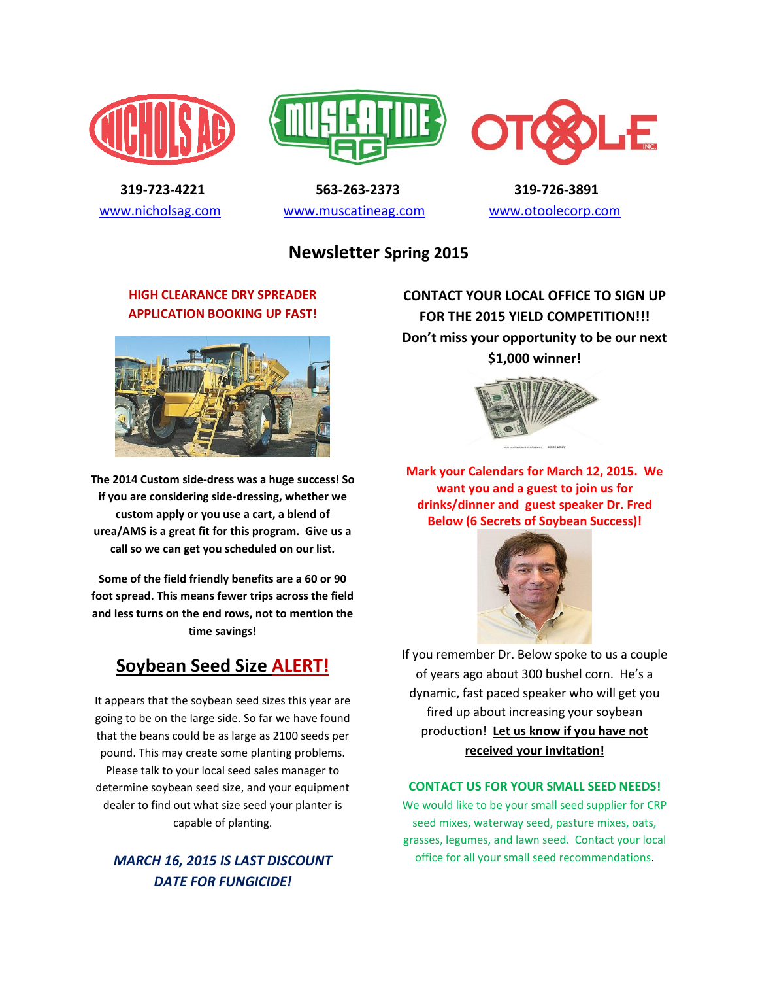





 **319-723-4221 563-263-2373 319-726-3891**  [www.nicholsag.com](http://www.nicholsag.com/) [www.muscatineag.com](http://www.muscatineag.com/) [www.otoolecorp.com](http://www.otoolecorp.com/)

## **Newsletter Spring 2015**

#### **HIGH CLEARANCE DRY SPREADER APPLICATION BOOKING UP FAST!**



**The 2014 Custom side-dress was a huge success! So if you are considering side-dressing, whether we custom apply or you use a cart, a blend of urea/AMS is a great fit for this program. Give us a call so we can get you scheduled on our list.**

**Some of the field friendly benefits are a 60 or 90 foot spread. This means fewer trips across the field and less turns on the end rows, not to mention the time savings!**

# **Soybean Seed Size ALERT!**

It appears that the soybean seed sizes this year are going to be on the large side. So far we have found that the beans could be as large as 2100 seeds per pound. This may create some planting problems. Please talk to your local seed sales manager to determine soybean seed size, and your equipment dealer to find out what size seed your planter is capable of planting.

### *MARCH 16, 2015 IS LAST DISCOUNT DATE FOR FUNGICIDE!*

**CONTACT YOUR LOCAL OFFICE TO SIGN UP FOR THE 2015 YIELD COMPETITION!!! Don't miss your opportunity to be our next \$1,000 winner!**



**Mark your Calendars for March 12, 2015. We want you and a guest to join us for drinks/dinner and guest speaker Dr. Fred Below (6 Secrets of Soybean Success)!**



If you remember Dr. Below spoke to us a couple of years ago about 300 bushel corn. He's a dynamic, fast paced speaker who will get you fired up about increasing your soybean production! **Let us know if you have not received your invitation!**

#### **CONTACT US FOR YOUR SMALL SEED NEEDS!**

We would like to be your small seed supplier for CRP seed mixes, waterway seed, pasture mixes, oats, grasses, legumes, and lawn seed. Contact your local office for all your small seed recommendations.